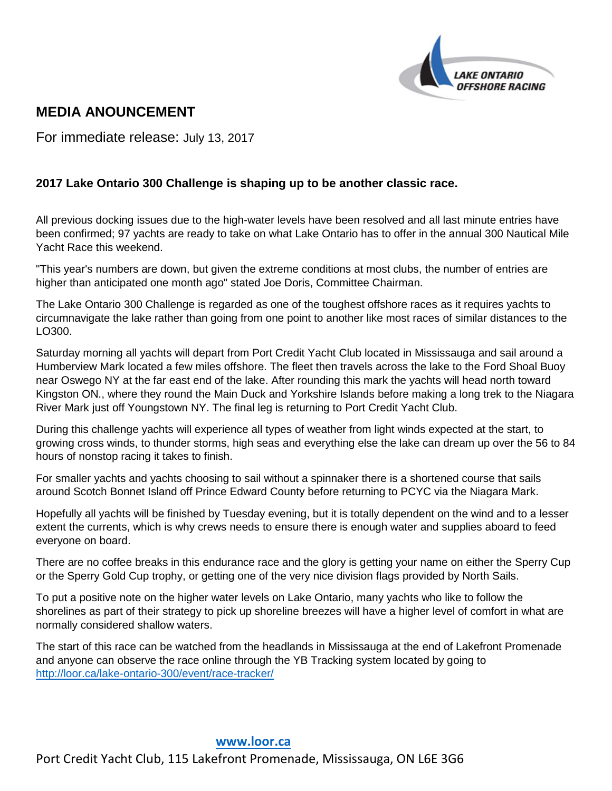

# **MEDIA ANOUNCEMENT**

For immediate release: July 13, 2017

# **2017 Lake Ontario 300 Challenge is shaping up to be another classic race.**

All previous docking issues due to the high-water levels have been resolved and all last minute entries have been confirmed; 97 yachts are ready to take on what Lake Ontario has to offer in the annual 300 Nautical Mile Yacht Race this weekend.

"This year's numbers are down, but given the extreme conditions at most clubs, the number of entries are higher than anticipated one month ago" stated Joe Doris, Committee Chairman.

The Lake Ontario 300 Challenge is regarded as one of the toughest offshore races as it requires yachts to circumnavigate the lake rather than going from one point to another like most races of similar distances to the LO300.

Saturday morning all yachts will depart from Port Credit Yacht Club located in Mississauga and sail around a Humberview Mark located a few miles offshore. The fleet then travels across the lake to the Ford Shoal Buoy near Oswego NY at the far east end of the lake. After rounding this mark the yachts will head north toward Kingston ON., where they round the Main Duck and Yorkshire Islands before making a long trek to the Niagara River Mark just off Youngstown NY. The final leg is returning to Port Credit Yacht Club.

During this challenge yachts will experience all types of weather from light winds expected at the start, to growing cross winds, to thunder storms, high seas and everything else the lake can dream up over the 56 to 84 hours of nonstop racing it takes to finish.

For smaller yachts and yachts choosing to sail without a spinnaker there is a shortened course that sails around Scotch Bonnet Island off Prince Edward County before returning to PCYC via the Niagara Mark.

Hopefully all yachts will be finished by Tuesday evening, but it is totally dependent on the wind and to a lesser extent the currents, which is why crews needs to ensure there is enough water and supplies aboard to feed everyone on board.

There are no coffee breaks in this endurance race and the glory is getting your name on either the Sperry Cup or the Sperry Gold Cup trophy, or getting one of the very nice division flags provided by North Sails.

To put a positive note on the higher water levels on Lake Ontario, many yachts who like to follow the shorelines as part of their strategy to pick up shoreline breezes will have a higher level of comfort in what are normally considered shallow waters.

The start of this race can be watched from the headlands in Mississauga at the end of Lakefront Promenade and anyone can observe the race online through the YB Tracking system located by going to <http://loor.ca/lake-ontario-300/event/race-tracker/>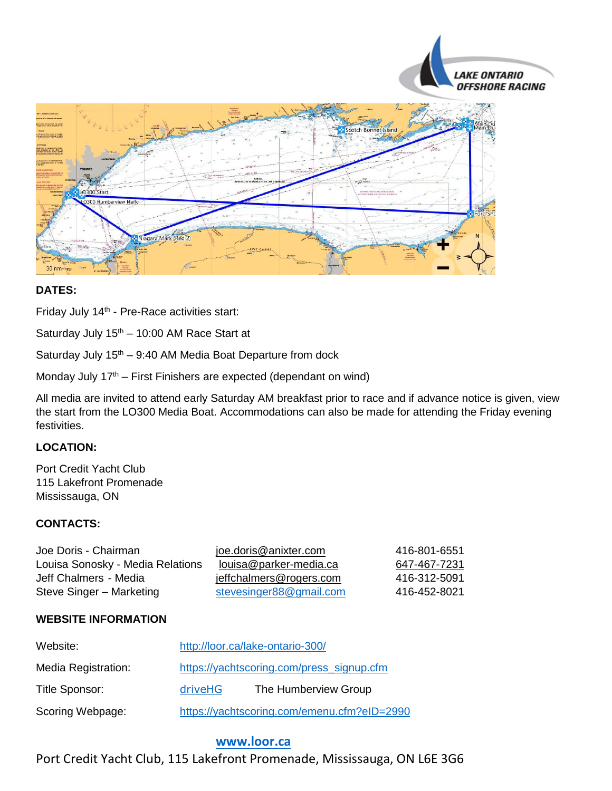



# **DATES:**

Friday July 14<sup>th</sup> - Pre-Race activities start:

Saturday July  $15<sup>th</sup> - 10:00$  AM Race Start at

Saturday July  $15<sup>th</sup> - 9:40$  AM Media Boat Departure from dock

Monday July  $17<sup>th</sup>$  – First Finishers are expected (dependant on wind)

All media are invited to attend early Saturday AM breakfast prior to race and if advance notice is given, view the start from the LO300 Media Boat. Accommodations can also be made for attending the Friday evening festivities.

## **LOCATION:**

Port Credit Yacht Club 115 Lakefront Promenade Mississauga, ON

#### **CONTACTS:**

| Joe Doris - Chairman             | joe.doris@anixter.com   | 416-801-6551 |
|----------------------------------|-------------------------|--------------|
| Louisa Sonosky - Media Relations | louisa@parker-media.ca  | 647-467-7231 |
| Jeff Chalmers - Media            | jeffchalmers@rogers.com | 416-312-5091 |
| Steve Singer - Marketing         | stevesinger88@gmail.com | 416-452-8021 |

#### **WEBSITE INFORMATION**

| Website:            | http://loor.ca/lake-ontario-300/            |                      |
|---------------------|---------------------------------------------|----------------------|
| Media Registration: | https://yachtscoring.com/press_signup.cfm   |                      |
| Title Sponsor:      | driveHG                                     | The Humberview Group |
| Scoring Webpage:    | https://yachtscoring.com/emenu.cfm?eID=2990 |                      |

## **[www.loor.ca](../../../../../User/User/AppData/Local/Microsoft/Windows/Temporary%20Internet%20Files/Content.IE5/LPBV5RDO/www.loor.ca)**

Port Credit Yacht Club, 115 Lakefront Promenade, Mississauga, ON L6E 3G6